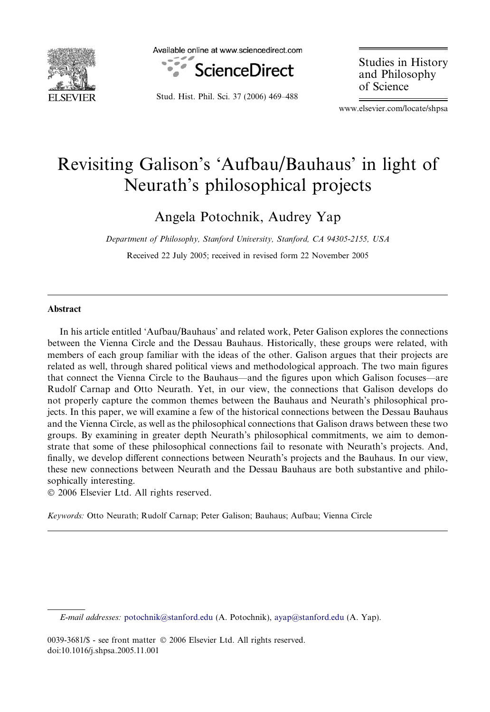

Available online at www.sciencedirect.com



Stud. Hist. Phil. Sci. 37 (2006) 469–488

Studies in History and Philosophy of Science

www.elsevier.com/locate/shpsa

# Revisiting Galison's 'Aufbau/Bauhaus' in light of Neurath's philosophical projects

Angela Potochnik, Audrey Yap

Department of Philosophy, Stanford University, Stanford, CA 94305-2155, USA

Received 22 July 2005; received in revised form 22 November 2005

# Abstract

In his article entitled 'Aufbau/Bauhaus' and related work, Peter Galison explores the connections between the Vienna Circle and the Dessau Bauhaus. Historically, these groups were related, with members of each group familiar with the ideas of the other. Galison argues that their projects are related as well, through shared political views and methodological approach. The two main figures that connect the Vienna Circle to the Bauhaus—and the figures upon which Galison focuses—are Rudolf Carnap and Otto Neurath. Yet, in our view, the connections that Galison develops do not properly capture the common themes between the Bauhaus and Neurath's philosophical projects. In this paper, we will examine a few of the historical connections between the Dessau Bauhaus and the Vienna Circle, as well as the philosophical connections that Galison draws between these two groups. By examining in greater depth Neurath's philosophical commitments, we aim to demonstrate that some of these philosophical connections fail to resonate with Neurath's projects. And, finally, we develop different connections between Neurath's projects and the Bauhaus. In our view, these new connections between Neurath and the Dessau Bauhaus are both substantive and philosophically interesting.

© 2006 Elsevier Ltd. All rights reserved.

Keywords: Otto Neurath; Rudolf Carnap; Peter Galison; Bauhaus; Aufbau; Vienna Circle

E-mail addresses: [potochnik@stanford.edu](mailto:potochnik@stanford.edu) (A. Potochnik), [ayap@stanford.edu](mailto:ayap@stanford.edu) (A. Yap).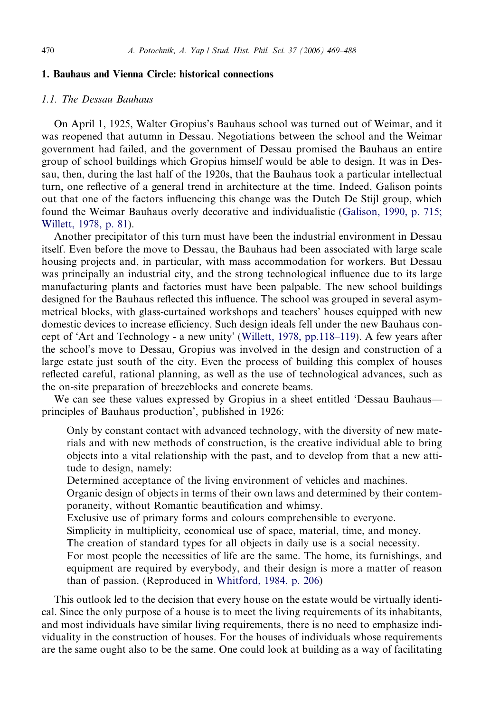#### <span id="page-1-0"></span>1. Bauhaus and Vienna Circle: historical connections

#### 1.1. The Dessau Bauhaus

On April 1, 1925, Walter Gropius's Bauhaus school was turned out of Weimar, and it was reopened that autumn in Dessau. Negotiations between the school and the Weimar government had failed, and the government of Dessau promised the Bauhaus an entire group of school buildings which Gropius himself would be able to design. It was in Dessau, then, during the last half of the 1920s, that the Bauhaus took a particular intellectual turn, one reflective of a general trend in architecture at the time. Indeed, Galison points out that one of the factors influencing this change was the Dutch De Stijl group, which found the Weimar Bauhaus overly decorative and individualistic [\(Galison, 1990, p. 715;](#page-18-0) [Willett, 1978, p. 81](#page-18-0)).

Another precipitator of this turn must have been the industrial environment in Dessau itself. Even before the move to Dessau, the Bauhaus had been associated with large scale housing projects and, in particular, with mass accommodation for workers. But Dessau was principally an industrial city, and the strong technological influence due to its large manufacturing plants and factories must have been palpable. The new school buildings designed for the Bauhaus reflected this influence. The school was grouped in several asymmetrical blocks, with glass-curtained workshops and teachers' houses equipped with new domestic devices to increase efficiency. Such design ideals fell under the new Bauhaus concept of 'Art and Technology - a new unity' ([Willett, 1978, pp.118–119\)](#page-19-0). A few years after the school's move to Dessau, Gropius was involved in the design and construction of a large estate just south of the city. Even the process of building this complex of houses reflected careful, rational planning, as well as the use of technological advances, such as the on-site preparation of breezeblocks and concrete beams.

We can see these values expressed by Gropius in a sheet entitled 'Dessau Bauhaus principles of Bauhaus production', published in 1926:

Only by constant contact with advanced technology, with the diversity of new materials and with new methods of construction, is the creative individual able to bring objects into a vital relationship with the past, and to develop from that a new attitude to design, namely:

Determined acceptance of the living environment of vehicles and machines.

Organic design of objects in terms of their own laws and determined by their contemporaneity, without Romantic beautification and whimsy.

Exclusive use of primary forms and colours comprehensible to everyone.

Simplicity in multiplicity, economical use of space, material, time, and money.

The creation of standard types for all objects in daily use is a social necessity.

For most people the necessities of life are the same. The home, its furnishings, and equipment are required by everybody, and their design is more a matter of reason than of passion. (Reproduced in [Whitford, 1984, p. 206\)](#page-19-0)

This outlook led to the decision that every house on the estate would be virtually identical. Since the only purpose of a house is to meet the living requirements of its inhabitants, and most individuals have similar living requirements, there is no need to emphasize individuality in the construction of houses. For the houses of individuals whose requirements are the same ought also to be the same. One could look at building as a way of facilitating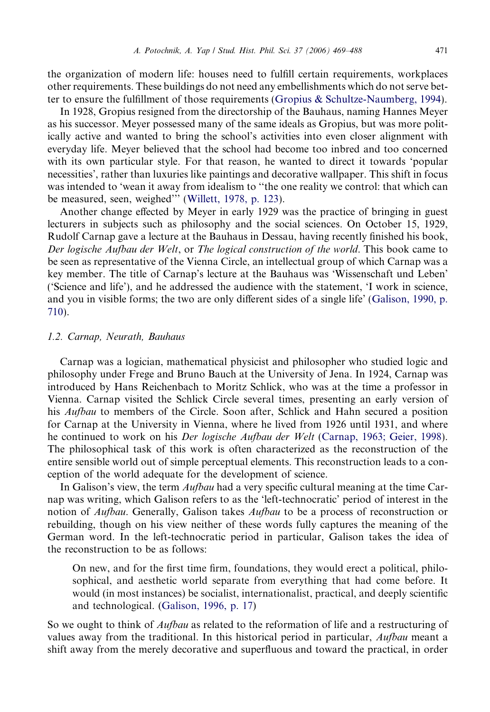<span id="page-2-0"></span>the organization of modern life: houses need to fulfill certain requirements, workplaces other requirements. These buildings do not need any embellishments which do not serve better to ensure the fulfillment of those requirements ([Gropius & Schultze-Naumberg, 1994](#page-19-0)).

In 1928, Gropius resigned from the directorship of the Bauhaus, naming Hannes Meyer as his successor. Meyer possessed many of the same ideals as Gropius, but was more politically active and wanted to bring the school's activities into even closer alignment with everyday life. Meyer believed that the school had become too inbred and too concerned with its own particular style. For that reason, he wanted to direct it towards 'popular necessities', rather than luxuries like paintings and decorative wallpaper. This shift in focus was intended to 'wean it away from idealism to ''the one reality we control: that which can be measured, seen, weighed''' ([Willett, 1978, p. 123](#page-19-0)).

Another change effected by Meyer in early 1929 was the practice of bringing in guest lecturers in subjects such as philosophy and the social sciences. On October 15, 1929, Rudolf Carnap gave a lecture at the Bauhaus in Dessau, having recently finished his book, Der logische Aufbau der Welt, or The logical construction of the world. This book came to be seen as representative of the Vienna Circle, an intellectual group of which Carnap was a key member. The title of Carnap's lecture at the Bauhaus was 'Wissenschaft und Leben' ('Science and life'), and he addressed the audience with the statement, 'I work in science, and you in visible forms; the two are only different sides of a single life' [\(Galison, 1990, p.](#page-18-0) [710](#page-18-0)).

#### 1.2. Carnap, Neurath, Bauhaus

Carnap was a logician, mathematical physicist and philosopher who studied logic and philosophy under Frege and Bruno Bauch at the University of Jena. In 1924, Carnap was introduced by Hans Reichenbach to Moritz Schlick, who was at the time a professor in Vienna. Carnap visited the Schlick Circle several times, presenting an early version of his *Aufbau* to members of the Circle. Soon after, Schlick and Hahn secured a position for Carnap at the University in Vienna, where he lived from 1926 until 1931, and where he continued to work on his *Der logische Aufbau der Welt* [\(Carnap, 1963; Geier, 1998\)](#page-18-0). The philosophical task of this work is often characterized as the reconstruction of the entire sensible world out of simple perceptual elements. This reconstruction leads to a conception of the world adequate for the development of science.

In Galison's view, the term *Aufbau* had a very specific cultural meaning at the time Carnap was writing, which Galison refers to as the 'left-technocratic' period of interest in the notion of *Aufbau*. Generally, Galison takes *Aufbau* to be a process of reconstruction or rebuilding, though on his view neither of these words fully captures the meaning of the German word. In the left-technocratic period in particular, Galison takes the idea of the reconstruction to be as follows:

On new, and for the first time firm, foundations, they would erect a political, philosophical, and aesthetic world separate from everything that had come before. It would (in most instances) be socialist, internationalist, practical, and deeply scientific and technological. [\(Galison, 1996, p. 17\)](#page-18-0)

So we ought to think of *Aufbau* as related to the reformation of life and a restructuring of values away from the traditional. In this historical period in particular, Aufbau meant a shift away from the merely decorative and superfluous and toward the practical, in order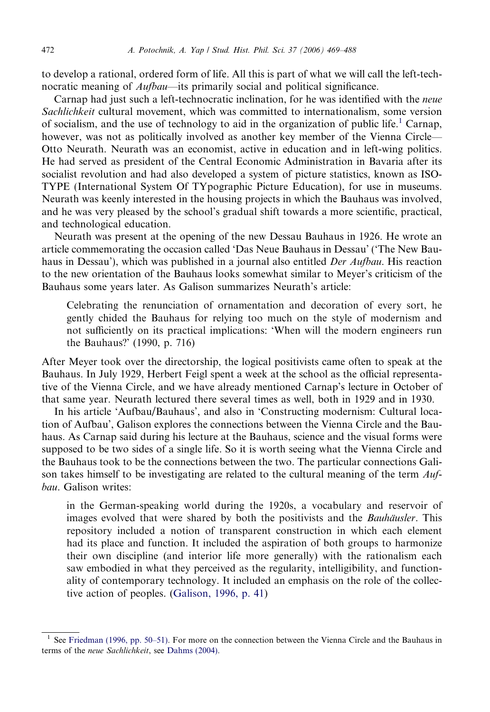to develop a rational, ordered form of life. All this is part of what we will call the left-technocratic meaning of Aufbau—its primarily social and political significance.

Carnap had just such a left-technocratic inclination, for he was identified with the neue Sachlichkeit cultural movement, which was committed to internationalism, some version of socialism, and the use of technology to aid in the organization of public life.<sup>1</sup> Carnap, however, was not as politically involved as another key member of the Vienna Circle— Otto Neurath. Neurath was an economist, active in education and in left-wing politics. He had served as president of the Central Economic Administration in Bavaria after its socialist revolution and had also developed a system of picture statistics, known as ISO-TYPE (International System Of TYpographic Picture Education), for use in museums. Neurath was keenly interested in the housing projects in which the Bauhaus was involved, and he was very pleased by the school's gradual shift towards a more scientific, practical, and technological education.

Neurath was present at the opening of the new Dessau Bauhaus in 1926. He wrote an article commemorating the occasion called 'Das Neue Bauhaus in Dessau' ('The New Bauhaus in Dessau'), which was published in a journal also entitled *Der Aufbau*. His reaction to the new orientation of the Bauhaus looks somewhat similar to Meyer's criticism of the Bauhaus some years later. As Galison summarizes Neurath's article:

Celebrating the renunciation of ornamentation and decoration of every sort, he gently chided the Bauhaus for relying too much on the style of modernism and not sufficiently on its practical implications: 'When will the modern engineers run the Bauhaus?' (1990, p. 716)

After Meyer took over the directorship, the logical positivists came often to speak at the Bauhaus. In July 1929, Herbert Feigl spent a week at the school as the official representative of the Vienna Circle, and we have already mentioned Carnap's lecture in October of that same year. Neurath lectured there several times as well, both in 1929 and in 1930.

In his article 'Aufbau/Bauhaus', and also in 'Constructing modernism: Cultural location of Aufbau', Galison explores the connections between the Vienna Circle and the Bauhaus. As Carnap said during his lecture at the Bauhaus, science and the visual forms were supposed to be two sides of a single life. So it is worth seeing what the Vienna Circle and the Bauhaus took to be the connections between the two. The particular connections Galison takes himself to be investigating are related to the cultural meaning of the term  $\Delta u f$ bau. Galison writes:

in the German-speaking world during the 1920s, a vocabulary and reservoir of images evolved that were shared by both the positivists and the *Bauhäusler*. This repository included a notion of transparent construction in which each element had its place and function. It included the aspiration of both groups to harmonize their own discipline (and interior life more generally) with the rationalism each saw embodied in what they perceived as the regularity, intelligibility, and functionality of contemporary technology. It included an emphasis on the role of the collective action of peoples. [\(Galison, 1996, p. 41](#page-18-0))

See [Friedman \(1996, pp. 50–51\)](#page-18-0). For more on the connection between the Vienna Circle and the Bauhaus in terms of the neue Sachlichkeit, see [Dahms \(2004\).](#page-18-0)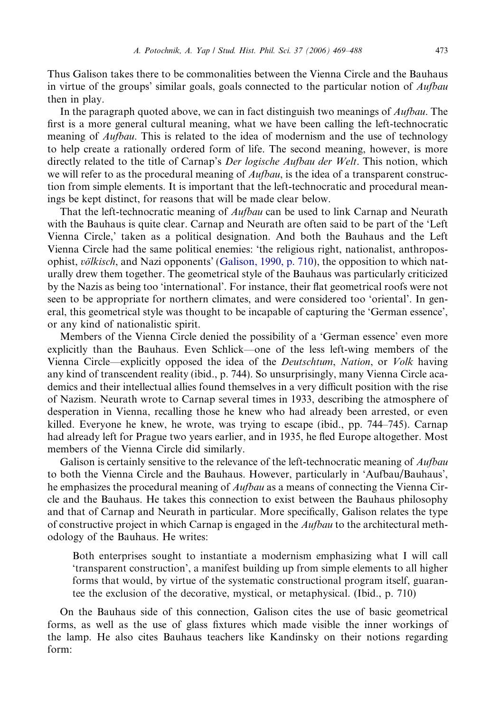Thus Galison takes there to be commonalities between the Vienna Circle and the Bauhaus in virtue of the groups' similar goals, goals connected to the particular notion of Aufbau then in play.

In the paragraph quoted above, we can in fact distinguish two meanings of *Aufbau*. The first is a more general cultural meaning, what we have been calling the left-technocratic meaning of *Aufbau*. This is related to the idea of modernism and the use of technology to help create a rationally ordered form of life. The second meaning, however, is more directly related to the title of Carnap's *Der logische Aufbau der Welt*. This notion, which we will refer to as the procedural meaning of  $\Delta u/bau$ , is the idea of a transparent construction from simple elements. It is important that the left-technocratic and procedural meanings be kept distinct, for reasons that will be made clear below.

That the left-technocratic meaning of *Aufbau* can be used to link Carnap and Neurath with the Bauhaus is quite clear. Carnap and Neurath are often said to be part of the 'Left Vienna Circle,' taken as a political designation. And both the Bauhaus and the Left Vienna Circle had the same political enemies: 'the religious right, nationalist, anthroposophist,  $v\ddot{o}$ *kisch*, and Nazi opponents' ([Galison, 1990, p. 710](#page-18-0)), the opposition to which naturally drew them together. The geometrical style of the Bauhaus was particularly criticized by the Nazis as being too 'international'. For instance, their flat geometrical roofs were not seen to be appropriate for northern climates, and were considered too 'oriental'. In general, this geometrical style was thought to be incapable of capturing the 'German essence', or any kind of nationalistic spirit.

Members of the Vienna Circle denied the possibility of a 'German essence' even more explicitly than the Bauhaus. Even Schlick—one of the less left-wing members of the Vienna Circle—explicitly opposed the idea of the Deutschtum, Nation, or Volk having any kind of transcendent reality (ibid., p. 744). So unsurprisingly, many Vienna Circle academics and their intellectual allies found themselves in a very difficult position with the rise of Nazism. Neurath wrote to Carnap several times in 1933, describing the atmosphere of desperation in Vienna, recalling those he knew who had already been arrested, or even killed. Everyone he knew, he wrote, was trying to escape (ibid., pp. 744–745). Carnap had already left for Prague two years earlier, and in 1935, he fled Europe altogether. Most members of the Vienna Circle did similarly.

Galison is certainly sensitive to the relevance of the left-technocratic meaning of *Aufbau* to both the Vienna Circle and the Bauhaus. However, particularly in 'Aufbau/Bauhaus', he emphasizes the procedural meaning of *Aufbau* as a means of connecting the Vienna Circle and the Bauhaus. He takes this connection to exist between the Bauhaus philosophy and that of Carnap and Neurath in particular. More specifically, Galison relates the type of constructive project in which Carnap is engaged in the Aufbau to the architectural methodology of the Bauhaus. He writes:

Both enterprises sought to instantiate a modernism emphasizing what I will call 'transparent construction', a manifest building up from simple elements to all higher forms that would, by virtue of the systematic constructional program itself, guarantee the exclusion of the decorative, mystical, or metaphysical. (Ibid., p. 710)

On the Bauhaus side of this connection, Galison cites the use of basic geometrical forms, as well as the use of glass fixtures which made visible the inner workings of the lamp. He also cites Bauhaus teachers like Kandinsky on their notions regarding form: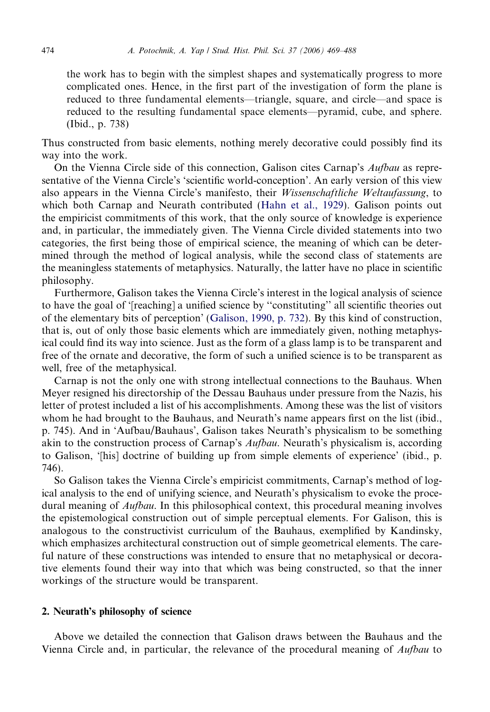<span id="page-5-0"></span>the work has to begin with the simplest shapes and systematically progress to more complicated ones. Hence, in the first part of the investigation of form the plane is reduced to three fundamental elements—triangle, square, and circle—and space is reduced to the resulting fundamental space elements—pyramid, cube, and sphere. (Ibid., p. 738)

Thus constructed from basic elements, nothing merely decorative could possibly find its way into the work.

On the Vienna Circle side of this connection, Galison cites Carnap's Aufbau as representative of the Vienna Circle's 'scientific world-conception'. An early version of this view also appears in the Vienna Circle's manifesto, their Wissenschaftliche Weltaufassung, to which both Carnap and Neurath contributed [\(Hahn et al., 1929](#page-19-0)). Galison points out the empiricist commitments of this work, that the only source of knowledge is experience and, in particular, the immediately given. The Vienna Circle divided statements into two categories, the first being those of empirical science, the meaning of which can be determined through the method of logical analysis, while the second class of statements are the meaningless statements of metaphysics. Naturally, the latter have no place in scientific philosophy.

Furthermore, Galison takes the Vienna Circle's interest in the logical analysis of science to have the goal of '[reaching] a unified science by ''constituting'' all scientific theories out of the elementary bits of perception' ([Galison, 1990, p. 732](#page-18-0)). By this kind of construction, that is, out of only those basic elements which are immediately given, nothing metaphysical could find its way into science. Just as the form of a glass lamp is to be transparent and free of the ornate and decorative, the form of such a unified science is to be transparent as well, free of the metaphysical.

Carnap is not the only one with strong intellectual connections to the Bauhaus. When Meyer resigned his directorship of the Dessau Bauhaus under pressure from the Nazis, his letter of protest included a list of his accomplishments. Among these was the list of visitors whom he had brought to the Bauhaus, and Neurath's name appears first on the list (ibid., p. 745). And in 'Aufbau/Bauhaus', Galison takes Neurath's physicalism to be something akin to the construction process of Carnap's Aufbau. Neurath's physicalism is, according to Galison, '[his] doctrine of building up from simple elements of experience' (ibid., p. 746).

So Galison takes the Vienna Circle's empiricist commitments, Carnap's method of logical analysis to the end of unifying science, and Neurath's physicalism to evoke the procedural meaning of *Aufbau*. In this philosophical context, this procedural meaning involves the epistemological construction out of simple perceptual elements. For Galison, this is analogous to the constructivist curriculum of the Bauhaus, exemplified by Kandinsky, which emphasizes architectural construction out of simple geometrical elements. The careful nature of these constructions was intended to ensure that no metaphysical or decorative elements found their way into that which was being constructed, so that the inner workings of the structure would be transparent.

# 2. Neurath's philosophy of science

Above we detailed the connection that Galison draws between the Bauhaus and the Vienna Circle and, in particular, the relevance of the procedural meaning of *Aufbau* to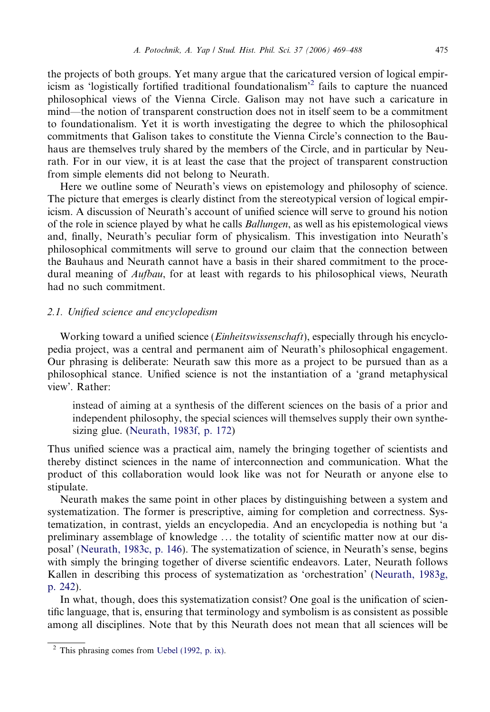<span id="page-6-0"></span>the projects of both groups. Yet many argue that the caricatured version of logical empiricism as 'logistically fortified traditional foundationalism'<sup>2</sup> fails to capture the nuanced philosophical views of the Vienna Circle. Galison may not have such a caricature in mind—the notion of transparent construction does not in itself seem to be a commitment to foundationalism. Yet it is worth investigating the degree to which the philosophical commitments that Galison takes to constitute the Vienna Circle's connection to the Bauhaus are themselves truly shared by the members of the Circle, and in particular by Neurath. For in our view, it is at least the case that the project of transparent construction from simple elements did not belong to Neurath.

Here we outline some of Neurath's views on epistemology and philosophy of science. The picture that emerges is clearly distinct from the stereotypical version of logical empiricism. A discussion of Neurath's account of unified science will serve to ground his notion of the role in science played by what he calls Ballungen, as well as his epistemological views and, finally, Neurath's peculiar form of physicalism. This investigation into Neurath's philosophical commitments will serve to ground our claim that the connection between the Bauhaus and Neurath cannot have a basis in their shared commitment to the procedural meaning of *Aufbau*, for at least with regards to his philosophical views, Neurath had no such commitment.

### 2.1. Unified science and encyclopedism

Working toward a unified science *(Einheitswissenschaft)*, especially through his encyclopedia project, was a central and permanent aim of Neurath's philosophical engagement. Our phrasing is deliberate: Neurath saw this more as a project to be pursued than as a philosophical stance. Unified science is not the instantiation of a 'grand metaphysical view'. Rather:

instead of aiming at a synthesis of the different sciences on the basis of a prior and independent philosophy, the special sciences will themselves supply their own synthesizing glue. ([Neurath, 1983f, p. 172](#page-19-0))

Thus unified science was a practical aim, namely the bringing together of scientists and thereby distinct sciences in the name of interconnection and communication. What the product of this collaboration would look like was not for Neurath or anyone else to stipulate.

Neurath makes the same point in other places by distinguishing between a system and systematization. The former is prescriptive, aiming for completion and correctness. Systematization, in contrast, yields an encyclopedia. And an encyclopedia is nothing but 'a preliminary assemblage of knowledge ... the totality of scientific matter now at our disposal' ([Neurath, 1983c, p. 146\)](#page-19-0). The systematization of science, in Neurath's sense, begins with simply the bringing together of diverse scientific endeavors. Later, Neurath follows Kallen in describing this process of systematization as 'orchestration' ([Neurath, 1983g,](#page-19-0) [p. 242\)](#page-19-0).

In what, though, does this systematization consist? One goal is the unification of scientific language, that is, ensuring that terminology and symbolism is as consistent as possible among all disciplines. Note that by this Neurath does not mean that all sciences will be

<sup>2</sup> This phrasing comes from [Uebel \(1992, p. ix\).](#page-19-0)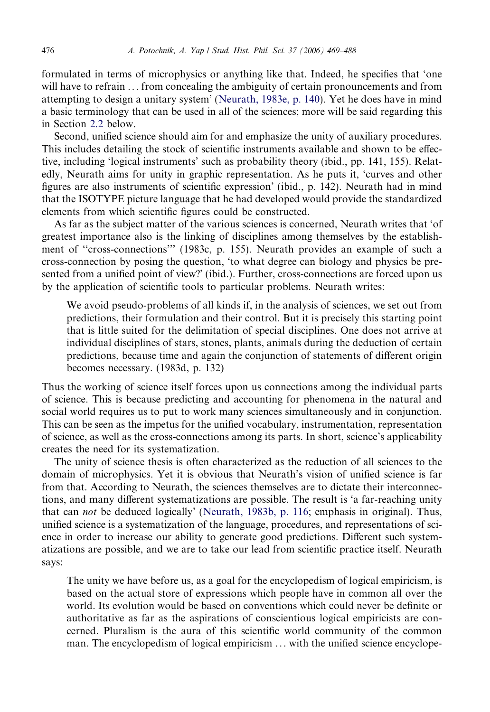formulated in terms of microphysics or anything like that. Indeed, he specifies that 'one will have to refrain ... from concealing the ambiguity of certain pronouncements and from attempting to design a unitary system' ([Neurath, 1983e, p. 140](#page-19-0)). Yet he does have in mind a basic terminology that can be used in all of the sciences; more will be said regarding this in Section [2.2](#page-8-0) below.

Second, unified science should aim for and emphasize the unity of auxiliary procedures. This includes detailing the stock of scientific instruments available and shown to be effective, including 'logical instruments' such as probability theory (ibid., pp. 141, 155). Relatedly, Neurath aims for unity in graphic representation. As he puts it, 'curves and other figures are also instruments of scientific expression' (ibid., p. 142). Neurath had in mind that the ISOTYPE picture language that he had developed would provide the standardized elements from which scientific figures could be constructed.

As far as the subject matter of the various sciences is concerned, Neurath writes that 'of greatest importance also is the linking of disciplines among themselves by the establishment of ''cross-connections''' (1983c, p. 155). Neurath provides an example of such a cross-connection by posing the question, 'to what degree can biology and physics be presented from a unified point of view?' (ibid.). Further, cross-connections are forced upon us by the application of scientific tools to particular problems. Neurath writes:

We avoid pseudo-problems of all kinds if, in the analysis of sciences, we set out from predictions, their formulation and their control. But it is precisely this starting point that is little suited for the delimitation of special disciplines. One does not arrive at individual disciplines of stars, stones, plants, animals during the deduction of certain predictions, because time and again the conjunction of statements of different origin becomes necessary. (1983d, p. 132)

Thus the working of science itself forces upon us connections among the individual parts of science. This is because predicting and accounting for phenomena in the natural and social world requires us to put to work many sciences simultaneously and in conjunction. This can be seen as the impetus for the unified vocabulary, instrumentation, representation of science, as well as the cross-connections among its parts. In short, science's applicability creates the need for its systematization.

The unity of science thesis is often characterized as the reduction of all sciences to the domain of microphysics. Yet it is obvious that Neurath's vision of unified science is far from that. According to Neurath, the sciences themselves are to dictate their interconnections, and many different systematizations are possible. The result is 'a far-reaching unity that can not be deduced logically' ([Neurath, 1983b, p. 116;](#page-19-0) emphasis in original). Thus, unified science is a systematization of the language, procedures, and representations of science in order to increase our ability to generate good predictions. Different such systematizations are possible, and we are to take our lead from scientific practice itself. Neurath says:

The unity we have before us, as a goal for the encyclopedism of logical empiricism, is based on the actual store of expressions which people have in common all over the world. Its evolution would be based on conventions which could never be definite or authoritative as far as the aspirations of conscientious logical empiricists are concerned. Pluralism is the aura of this scientific world community of the common man. The encyclopedism of logical empiricism ... with the unified science encyclope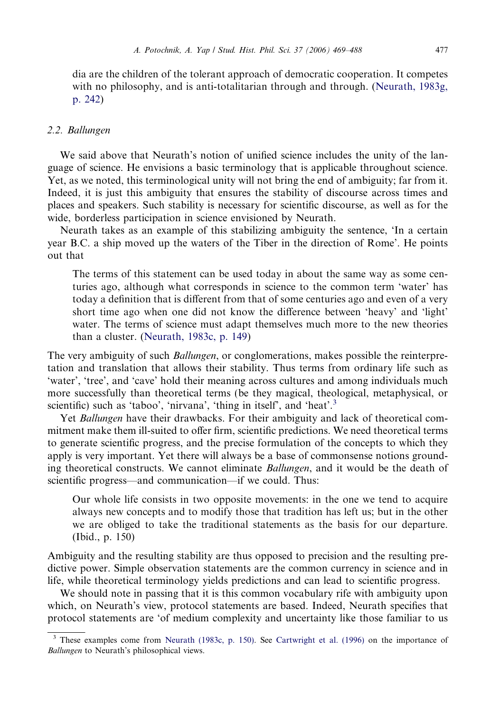<span id="page-8-0"></span>dia are the children of the tolerant approach of democratic cooperation. It competes with no philosophy, and is anti-totalitarian through and through. ([Neurath, 1983g,](#page-19-0) [p. 242\)](#page-19-0)

# 2.2. Ballungen

We said above that Neurath's notion of unified science includes the unity of the language of science. He envisions a basic terminology that is applicable throughout science. Yet, as we noted, this terminological unity will not bring the end of ambiguity; far from it. Indeed, it is just this ambiguity that ensures the stability of discourse across times and places and speakers. Such stability is necessary for scientific discourse, as well as for the wide, borderless participation in science envisioned by Neurath.

Neurath takes as an example of this stabilizing ambiguity the sentence, 'In a certain year B.C. a ship moved up the waters of the Tiber in the direction of Rome'. He points out that

The terms of this statement can be used today in about the same way as some centuries ago, although what corresponds in science to the common term 'water' has today a definition that is different from that of some centuries ago and even of a very short time ago when one did not know the difference between 'heavy' and 'light' water. The terms of science must adapt themselves much more to the new theories than a cluster. ([Neurath, 1983c, p. 149](#page-19-0))

The very ambiguity of such *Ballungen*, or conglomerations, makes possible the reinterpretation and translation that allows their stability. Thus terms from ordinary life such as 'water', 'tree', and 'cave' hold their meaning across cultures and among individuals much more successfully than theoretical terms (be they magical, theological, metaphysical, or scientific) such as 'taboo', 'nirvana', 'thing in itself', and 'heat'.<sup>3</sup>

Yet *Ballungen* have their drawbacks. For their ambiguity and lack of theoretical commitment make them ill-suited to offer firm, scientific predictions. We need theoretical terms to generate scientific progress, and the precise formulation of the concepts to which they apply is very important. Yet there will always be a base of commonsense notions grounding theoretical constructs. We cannot eliminate *Ballungen*, and it would be the death of scientific progress—and communication—if we could. Thus:

Our whole life consists in two opposite movements: in the one we tend to acquire always new concepts and to modify those that tradition has left us; but in the other we are obliged to take the traditional statements as the basis for our departure. (Ibid., p. 150)

Ambiguity and the resulting stability are thus opposed to precision and the resulting predictive power. Simple observation statements are the common currency in science and in life, while theoretical terminology yields predictions and can lead to scientific progress.

We should note in passing that it is this common vocabulary rife with ambiguity upon which, on Neurath's view, protocol statements are based. Indeed, Neurath specifies that protocol statements are 'of medium complexity and uncertainty like those familiar to us

<sup>&</sup>lt;sup>3</sup> These examples come from [Neurath \(1983c, p. 150\).](#page-19-0) See [Cartwright et al. \(1996\)](#page-18-0) on the importance of Ballungen to Neurath's philosophical views.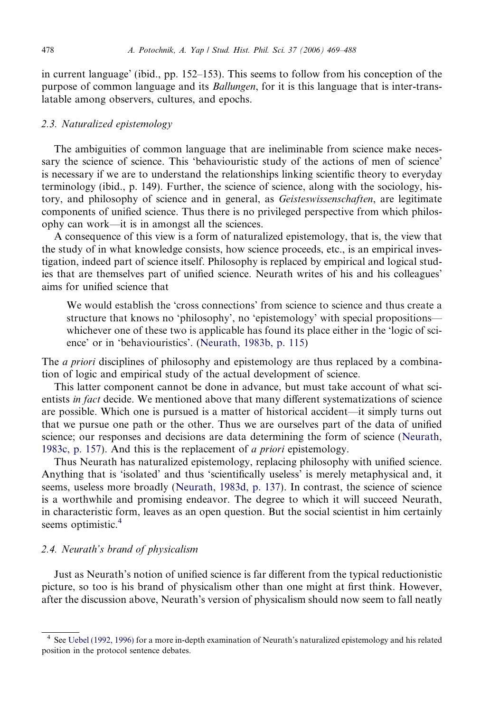<span id="page-9-0"></span>in current language' (ibid., pp. 152–153). This seems to follow from his conception of the purpose of common language and its Ballungen, for it is this language that is inter-translatable among observers, cultures, and epochs.

#### 2.3. Naturalized epistemology

The ambiguities of common language that are ineliminable from science make necessary the science of science. This 'behaviouristic study of the actions of men of science' is necessary if we are to understand the relationships linking scientific theory to everyday terminology (ibid., p. 149). Further, the science of science, along with the sociology, history, and philosophy of science and in general, as *Geisteswissenschaften*, are legitimate components of unified science. Thus there is no privileged perspective from which philosophy can work—it is in amongst all the sciences.

A consequence of this view is a form of naturalized epistemology, that is, the view that the study of in what knowledge consists, how science proceeds, etc., is an empirical investigation, indeed part of science itself. Philosophy is replaced by empirical and logical studies that are themselves part of unified science. Neurath writes of his and his colleagues' aims for unified science that

We would establish the 'cross connections' from science to science and thus create a structure that knows no 'philosophy', no 'epistemology' with special propositions whichever one of these two is applicable has found its place either in the 'logic of science' or in 'behaviouristics'. [\(Neurath, 1983b, p. 115\)](#page-19-0)

The *a priori* disciplines of philosophy and epistemology are thus replaced by a combination of logic and empirical study of the actual development of science.

This latter component cannot be done in advance, but must take account of what scientists in fact decide. We mentioned above that many different systematizations of science are possible. Which one is pursued is a matter of historical accident—it simply turns out that we pursue one path or the other. Thus we are ourselves part of the data of unified science; our responses and decisions are data determining the form of science ([Neurath,](#page-19-0) [1983c, p. 157\)](#page-19-0). And this is the replacement of *a priori* epistemology.

Thus Neurath has naturalized epistemology, replacing philosophy with unified science. Anything that is 'isolated' and thus 'scientifically useless' is merely metaphysical and, it seems, useless more broadly ([Neurath, 1983d, p. 137\)](#page-19-0). In contrast, the science of science is a worthwhile and promising endeavor. The degree to which it will succeed Neurath, in characteristic form, leaves as an open question. But the social scientist in him certainly seems optimistic.<sup>4</sup>

# 2.4. Neurath's brand of physicalism

Just as Neurath's notion of unified science is far different from the typical reductionistic picture, so too is his brand of physicalism other than one might at first think. However, after the discussion above, Neurath's version of physicalism should now seem to fall neatly

<sup>4</sup> See [Uebel \(1992, 1996\)](#page-19-0) for a more in-depth examination of Neurath's naturalized epistemology and his related position in the protocol sentence debates.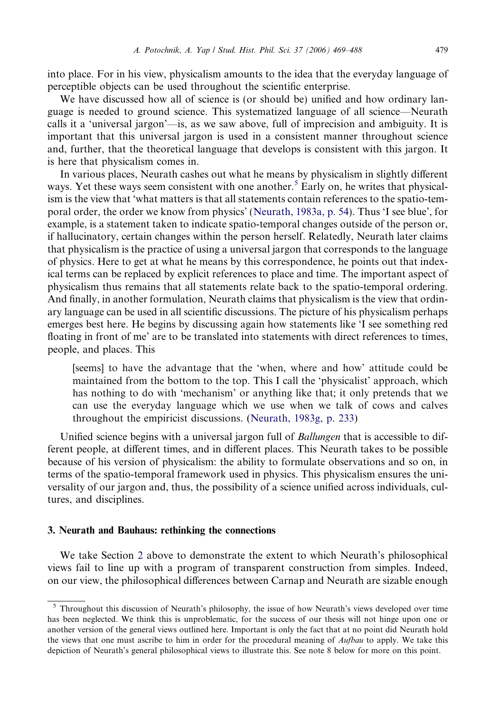into place. For in his view, physicalism amounts to the idea that the everyday language of perceptible objects can be used throughout the scientific enterprise.

We have discussed how all of science is (or should be) unified and how ordinary language is needed to ground science. This systematized language of all science—Neurath calls it a 'universal jargon'—is, as we saw above, full of imprecision and ambiguity. It is important that this universal jargon is used in a consistent manner throughout science and, further, that the theoretical language that develops is consistent with this jargon. It is here that physicalism comes in.

In various places, Neurath cashes out what he means by physicalism in slightly different ways. Yet these ways seem consistent with one another.<sup>5</sup> Early on, he writes that physicalism is the view that 'what matters is that all statements contain references to the spatio-temporal order, the order we know from physics' ([Neurath, 1983a, p. 54](#page-19-0)). Thus 'I see blue', for example, is a statement taken to indicate spatio-temporal changes outside of the person or, if hallucinatory, certain changes within the person herself. Relatedly, Neurath later claims that physicalism is the practice of using a universal jargon that corresponds to the language of physics. Here to get at what he means by this correspondence, he points out that indexical terms can be replaced by explicit references to place and time. The important aspect of physicalism thus remains that all statements relate back to the spatio-temporal ordering. And finally, in another formulation, Neurath claims that physicalism is the view that ordinary language can be used in all scientific discussions. The picture of his physicalism perhaps emerges best here. He begins by discussing again how statements like 'I see something red floating in front of me' are to be translated into statements with direct references to times, people, and places. This

[seems] to have the advantage that the 'when, where and how' attitude could be maintained from the bottom to the top. This I call the 'physicalist' approach, which has nothing to do with 'mechanism' or anything like that; it only pretends that we can use the everyday language which we use when we talk of cows and calves throughout the empiricist discussions. [\(Neurath, 1983g, p. 233](#page-19-0))

Unified science begins with a universal jargon full of *Ballungen* that is accessible to different people, at different times, and in different places. This Neurath takes to be possible because of his version of physicalism: the ability to formulate observations and so on, in terms of the spatio-temporal framework used in physics. This physicalism ensures the universality of our jargon and, thus, the possibility of a science unified across individuals, cultures, and disciplines.

#### 3. Neurath and Bauhaus: rethinking the connections

We take Section [2](#page-5-0) above to demonstrate the extent to which Neurath's philosophical views fail to line up with a program of transparent construction from simples. Indeed, on our view, the philosophical differences between Carnap and Neurath are sizable enough

<sup>5</sup> Throughout this discussion of Neurath's philosophy, the issue of how Neurath's views developed over time has been neglected. We think this is unproblematic, for the success of our thesis will not hinge upon one or another version of the general views outlined here. Important is only the fact that at no point did Neurath hold the views that one must ascribe to him in order for the procedural meaning of *Aufbau* to apply. We take this depiction of Neurath's general philosophical views to illustrate this. See note 8 below for more on this point.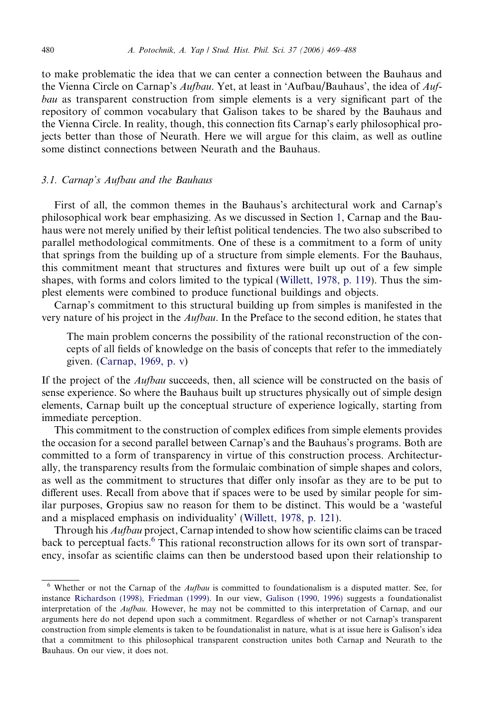<span id="page-11-0"></span>to make problematic the idea that we can center a connection between the Bauhaus and the Vienna Circle on Carnap's Aufbau. Yet, at least in 'Aufbau/Bauhaus', the idea of Aufbau as transparent construction from simple elements is a very significant part of the repository of common vocabulary that Galison takes to be shared by the Bauhaus and the Vienna Circle. In reality, though, this connection fits Carnap's early philosophical projects better than those of Neurath. Here we will argue for this claim, as well as outline some distinct connections between Neurath and the Bauhaus.

# 3.1. Carnap's Aufbau and the Bauhaus

First of all, the common themes in the Bauhaus's architectural work and Carnap's philosophical work bear emphasizing. As we discussed in Section [1](#page-1-0), Carnap and the Bauhaus were not merely unified by their leftist political tendencies. The two also subscribed to parallel methodological commitments. One of these is a commitment to a form of unity that springs from the building up of a structure from simple elements. For the Bauhaus, this commitment meant that structures and fixtures were built up out of a few simple shapes, with forms and colors limited to the typical [\(Willett, 1978, p. 119](#page-19-0)). Thus the simplest elements were combined to produce functional buildings and objects.

Carnap's commitment to this structural building up from simples is manifested in the very nature of his project in the *Aufbau*. In the Preface to the second edition, he states that

The main problem concerns the possibility of the rational reconstruction of the concepts of all fields of knowledge on the basis of concepts that refer to the immediately given. ([Carnap, 1969, p. v](#page-18-0))

If the project of the *Aufbau* succeeds, then, all science will be constructed on the basis of sense experience. So where the Bauhaus built up structures physically out of simple design elements, Carnap built up the conceptual structure of experience logically, starting from immediate perception.

This commitment to the construction of complex edifices from simple elements provides the occasion for a second parallel between Carnap's and the Bauhaus's programs. Both are committed to a form of transparency in virtue of this construction process. Architecturally, the transparency results from the formulaic combination of simple shapes and colors, as well as the commitment to structures that differ only insofar as they are to be put to different uses. Recall from above that if spaces were to be used by similar people for similar purposes, Gropius saw no reason for them to be distinct. This would be a 'wasteful and a misplaced emphasis on individuality' ([Willett, 1978, p. 121](#page-19-0)).

Through his Aufbau project, Carnap intended to show how scientific claims can be traced back to perceptual facts.<sup>6</sup> This rational reconstruction allows for its own sort of transparency, insofar as scientific claims can then be understood based upon their relationship to

 $6$  Whether or not the Carnap of the Aufbau is committed to foundationalism is a disputed matter. See, for instance [Richardson \(1998\), Friedman \(1999\).](#page-19-0) In our view, [Galison \(1990, 1996\)](#page-18-0) suggests a foundationalist interpretation of the Aufbau. However, he may not be committed to this interpretation of Carnap, and our arguments here do not depend upon such a commitment. Regardless of whether or not Carnap's transparent construction from simple elements is taken to be foundationalist in nature, what is at issue here is Galison's idea that a commitment to this philosophical transparent construction unites both Carnap and Neurath to the Bauhaus. On our view, it does not.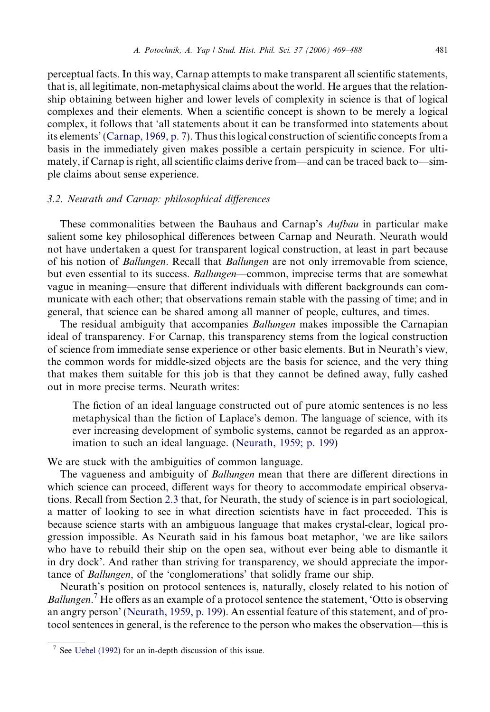<span id="page-12-0"></span>perceptual facts. In this way, Carnap attempts to make transparent all scientific statements, that is, all legitimate, non-metaphysical claims about the world. He argues that the relationship obtaining between higher and lower levels of complexity in science is that of logical complexes and their elements. When a scientific concept is shown to be merely a logical complex, it follows that 'all statements about it can be transformed into statements about its elements' ([Carnap, 1969, p. 7](#page-18-0)). Thus this logical construction of scientific concepts from a basis in the immediately given makes possible a certain perspicuity in science. For ultimately, if Carnap is right, all scientific claims derive from—and can be traced back to—simple claims about sense experience.

# 3.2. Neurath and Carnap: philosophical differences

These commonalities between the Bauhaus and Carnap's Aufbau in particular make salient some key philosophical differences between Carnap and Neurath. Neurath would not have undertaken a quest for transparent logical construction, at least in part because of his notion of Ballungen. Recall that Ballungen are not only irremovable from science, but even essential to its success. *Ballungen*—common, imprecise terms that are somewhat vague in meaning—ensure that different individuals with different backgrounds can communicate with each other; that observations remain stable with the passing of time; and in general, that science can be shared among all manner of people, cultures, and times.

The residual ambiguity that accompanies *Ballungen* makes impossible the Carnapian ideal of transparency. For Carnap, this transparency stems from the logical construction of science from immediate sense experience or other basic elements. But in Neurath's view, the common words for middle-sized objects are the basis for science, and the very thing that makes them suitable for this job is that they cannot be defined away, fully cashed out in more precise terms. Neurath writes:

The fiction of an ideal language constructed out of pure atomic sentences is no less metaphysical than the fiction of Laplace's demon. The language of science, with its ever increasing development of symbolic systems, cannot be regarded as an approximation to such an ideal language. [\(Neurath, 1959; p. 199](#page-19-0))

We are stuck with the ambiguities of common language.

The vagueness and ambiguity of Ballungen mean that there are different directions in which science can proceed, different ways for theory to accommodate empirical observations. Recall from Section [2.3](#page-9-0) that, for Neurath, the study of science is in part sociological, a matter of looking to see in what direction scientists have in fact proceeded. This is because science starts with an ambiguous language that makes crystal-clear, logical progression impossible. As Neurath said in his famous boat metaphor, 'we are like sailors who have to rebuild their ship on the open sea, without ever being able to dismantle it in dry dock'. And rather than striving for transparency, we should appreciate the importance of Ballungen, of the 'conglomerations' that solidly frame our ship.

Neurath's position on protocol sentences is, naturally, closely related to his notion of Ballungen.<sup>7</sup> He offers as an example of a protocol sentence the statement, 'Otto is observing an angry person' [\(Neurath, 1959, p. 199](#page-19-0)). An essential feature of this statement, and of protocol sentences in general, is the reference to the person who makes the observation—this is

See [Uebel \(1992\)](#page-19-0) for an in-depth discussion of this issue.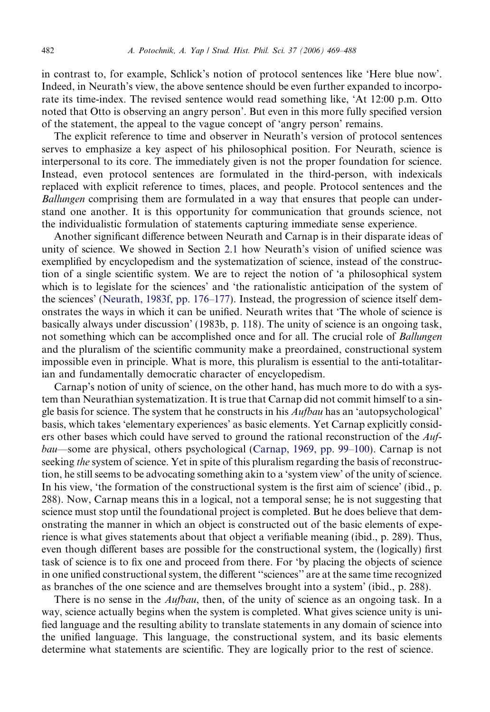in contrast to, for example, Schlick's notion of protocol sentences like 'Here blue now'. Indeed, in Neurath's view, the above sentence should be even further expanded to incorporate its time-index. The revised sentence would read something like, 'At 12:00 p.m. Otto noted that Otto is observing an angry person'. But even in this more fully specified version of the statement, the appeal to the vague concept of 'angry person' remains.

The explicit reference to time and observer in Neurath's version of protocol sentences serves to emphasize a key aspect of his philosophical position. For Neurath, science is interpersonal to its core. The immediately given is not the proper foundation for science. Instead, even protocol sentences are formulated in the third-person, with indexicals replaced with explicit reference to times, places, and people. Protocol sentences and the Ballungen comprising them are formulated in a way that ensures that people can understand one another. It is this opportunity for communication that grounds science, not the individualistic formulation of statements capturing immediate sense experience.

Another significant difference between Neurath and Carnap is in their disparate ideas of unity of science. We showed in Section [2.1](#page-6-0) how Neurath's vision of unified science was exemplified by encyclopedism and the systematization of science, instead of the construction of a single scientific system. We are to reject the notion of 'a philosophical system which is to legislate for the sciences' and 'the rationalistic anticipation of the system of the sciences' [\(Neurath, 1983f, pp. 176–177\)](#page-19-0). Instead, the progression of science itself demonstrates the ways in which it can be unified. Neurath writes that 'The whole of science is basically always under discussion' (1983b, p. 118). The unity of science is an ongoing task, not something which can be accomplished once and for all. The crucial role of *Ballungen* and the pluralism of the scientific community make a preordained, constructional system impossible even in principle. What is more, this pluralism is essential to the anti-totalitarian and fundamentally democratic character of encyclopedism.

Carnap's notion of unity of science, on the other hand, has much more to do with a system than Neurathian systematization. It is true that Carnap did not commit himself to a single basis for science. The system that he constructs in his  $\Delta u/b \alpha u$  has an 'autopsychological' basis, which takes 'elementary experiences' as basic elements. Yet Carnap explicitly considers other bases which could have served to ground the rational reconstruction of the  $\Delta u f$ bau—some are physical, others psychological ([Carnap, 1969, pp. 99–100](#page-18-0)). Carnap is not seeking the system of science. Yet in spite of this pluralism regarding the basis of reconstruction, he still seems to be advocating something akin to a 'system view' of the unity of science. In his view, 'the formation of the constructional system is the first aim of science' (ibid., p. 288). Now, Carnap means this in a logical, not a temporal sense; he is not suggesting that science must stop until the foundational project is completed. But he does believe that demonstrating the manner in which an object is constructed out of the basic elements of experience is what gives statements about that object a verifiable meaning (ibid., p. 289). Thus, even though different bases are possible for the constructional system, the (logically) first task of science is to fix one and proceed from there. For 'by placing the objects of science in one unified constructional system, the different ''sciences'' are at the same time recognized as branches of the one science and are themselves brought into a system' (ibid., p. 288).

There is no sense in the *Aufbau*, then, of the unity of science as an ongoing task. In a way, science actually begins when the system is completed. What gives science unity is unified language and the resulting ability to translate statements in any domain of science into the unified language. This language, the constructional system, and its basic elements determine what statements are scientific. They are logically prior to the rest of science.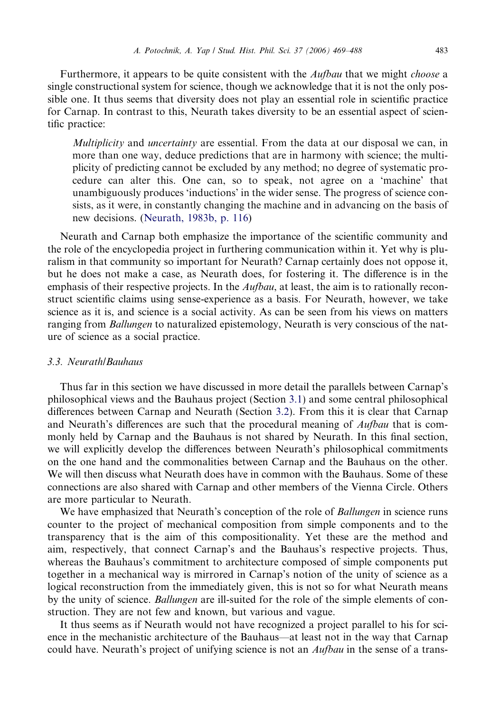Furthermore, it appears to be quite consistent with the *Aufbau* that we might *choose* a single constructional system for science, though we acknowledge that it is not the only possible one. It thus seems that diversity does not play an essential role in scientific practice for Carnap. In contrast to this, Neurath takes diversity to be an essential aspect of scientific practice:

Multiplicity and uncertainty are essential. From the data at our disposal we can, in more than one way, deduce predictions that are in harmony with science; the multiplicity of predicting cannot be excluded by any method; no degree of systematic procedure can alter this. One can, so to speak, not agree on a 'machine' that unambiguously produces 'inductions' in the wider sense. The progress of science consists, as it were, in constantly changing the machine and in advancing on the basis of new decisions. [\(Neurath, 1983b, p. 116](#page-19-0))

Neurath and Carnap both emphasize the importance of the scientific community and the role of the encyclopedia project in furthering communication within it. Yet why is pluralism in that community so important for Neurath? Carnap certainly does not oppose it, but he does not make a case, as Neurath does, for fostering it. The difference is in the emphasis of their respective projects. In the  $\lambda u/bau$ , at least, the aim is to rationally reconstruct scientific claims using sense-experience as a basis. For Neurath, however, we take science as it is, and science is a social activity. As can be seen from his views on matters ranging from *Ballungen* to naturalized epistemology, Neurath is very conscious of the nature of science as a social practice.

#### 3.3. Neurath/Bauhaus

Thus far in this section we have discussed in more detail the parallels between Carnap's philosophical views and the Bauhaus project (Section [3.1\)](#page-11-0) and some central philosophical differences between Carnap and Neurath (Section [3.2](#page-12-0)). From this it is clear that Carnap and Neurath's differences are such that the procedural meaning of Aufbau that is commonly held by Carnap and the Bauhaus is not shared by Neurath. In this final section, we will explicitly develop the differences between Neurath's philosophical commitments on the one hand and the commonalities between Carnap and the Bauhaus on the other. We will then discuss what Neurath does have in common with the Bauhaus. Some of these connections are also shared with Carnap and other members of the Vienna Circle. Others are more particular to Neurath.

We have emphasized that Neurath's conception of the role of *Ballungen* in science runs counter to the project of mechanical composition from simple components and to the transparency that is the aim of this compositionality. Yet these are the method and aim, respectively, that connect Carnap's and the Bauhaus's respective projects. Thus, whereas the Bauhaus's commitment to architecture composed of simple components put together in a mechanical way is mirrored in Carnap's notion of the unity of science as a logical reconstruction from the immediately given, this is not so for what Neurath means by the unity of science. Ballungen are ill-suited for the role of the simple elements of construction. They are not few and known, but various and vague.

It thus seems as if Neurath would not have recognized a project parallel to his for science in the mechanistic architecture of the Bauhaus—at least not in the way that Carnap could have. Neurath's project of unifying science is not an *Aufbau* in the sense of a trans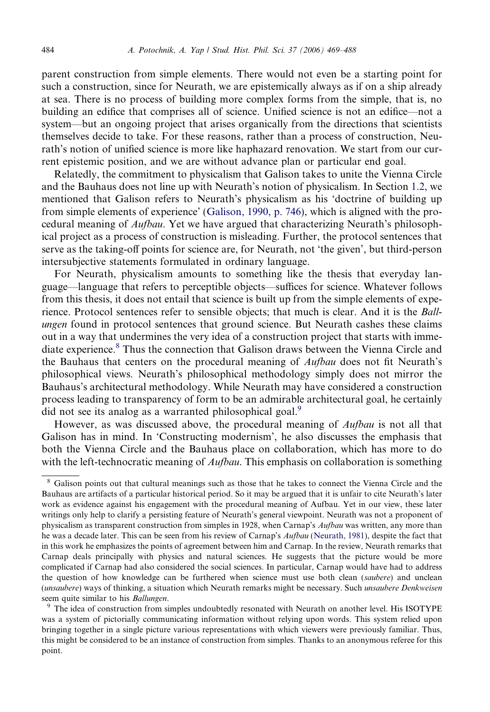parent construction from simple elements. There would not even be a starting point for such a construction, since for Neurath, we are epistemically always as if on a ship already at sea. There is no process of building more complex forms from the simple, that is, no building an edifice that comprises all of science. Unified science is not an edifice—not a system—but an ongoing project that arises organically from the directions that scientists themselves decide to take. For these reasons, rather than a process of construction, Neurath's notion of unified science is more like haphazard renovation. We start from our current epistemic position, and we are without advance plan or particular end goal.

Relatedly, the commitment to physicalism that Galison takes to unite the Vienna Circle and the Bauhaus does not line up with Neurath's notion of physicalism. In Section [1.2,](#page-2-0) we mentioned that Galison refers to Neurath's physicalism as his 'doctrine of building up from simple elements of experience' [\(Galison, 1990, p. 746](#page-18-0)), which is aligned with the procedural meaning of Aufbau. Yet we have argued that characterizing Neurath's philosophical project as a process of construction is misleading. Further, the protocol sentences that serve as the taking-off points for science are, for Neurath, not 'the given', but third-person intersubjective statements formulated in ordinary language.

For Neurath, physicalism amounts to something like the thesis that everyday language—language that refers to perceptible objects—suffices for science. Whatever follows from this thesis, it does not entail that science is built up from the simple elements of experience. Protocol sentences refer to sensible objects; that much is clear. And it is the Ballungen found in protocol sentences that ground science. But Neurath cashes these claims out in a way that undermines the very idea of a construction project that starts with immediate experience.<sup>8</sup> Thus the connection that Galison draws between the Vienna Circle and the Bauhaus that centers on the procedural meaning of Aufbau does not fit Neurath's philosophical views. Neurath's philosophical methodology simply does not mirror the Bauhaus's architectural methodology. While Neurath may have considered a construction process leading to transparency of form to be an admirable architectural goal, he certainly did not see its analog as a warranted philosophical goal.<sup>9</sup>

However, as was discussed above, the procedural meaning of Aufbau is not all that Galison has in mind. In 'Constructing modernism', he also discusses the emphasis that both the Vienna Circle and the Bauhaus place on collaboration, which has more to do with the left-technocratic meaning of  $\Delta u/\Delta u$ . This emphasis on collaboration is something

<sup>9</sup> The idea of construction from simples undoubtedly resonated with Neurath on another level. His ISOTYPE was a system of pictorially communicating information without relying upon words. This system relied upon bringing together in a single picture various representations with which viewers were previously familiar. Thus, this might be considered to be an instance of construction from simples. Thanks to an anonymous referee for this point.

<sup>8</sup> Galison points out that cultural meanings such as those that he takes to connect the Vienna Circle and the Bauhaus are artifacts of a particular historical period. So it may be argued that it is unfair to cite Neurath's later work as evidence against his engagement with the procedural meaning of Aufbau. Yet in our view, these later writings only help to clarify a persisting feature of Neurath's general viewpoint. Neurath was not a proponent of physicalism as transparent construction from simples in 1928, when Carnap's Aufbau was written, any more than he was a decade later. This can be seen from his review of Carnap's Aufbau ([Neurath, 1981](#page-19-0)), despite the fact that in this work he emphasizes the points of agreement between him and Carnap. In the review, Neurath remarks that Carnap deals principally with physics and natural sciences. He suggests that the picture would be more complicated if Carnap had also considered the social sciences. In particular, Carnap would have had to address the question of how knowledge can be furthered when science must use both clean (saubere) and unclean (unsaubere) ways of thinking, a situation which Neurath remarks might be necessary. Such unsaubere Denkweisen seem quite similar to his Ballungen.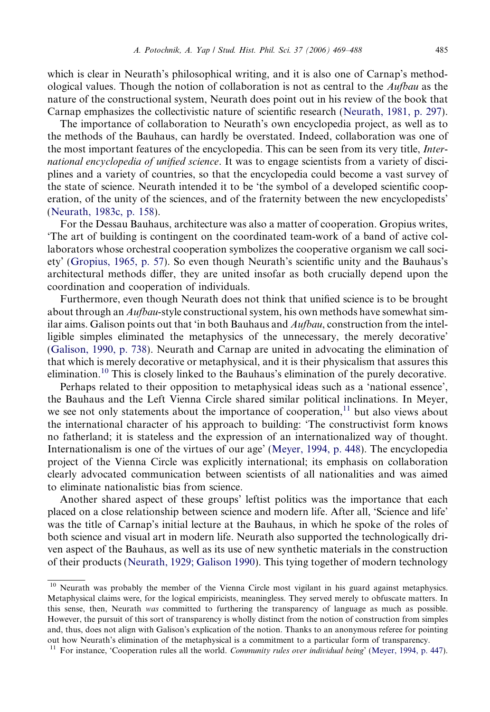which is clear in Neurath's philosophical writing, and it is also one of Carnap's methodological values. Though the notion of collaboration is not as central to the Aufbau as the nature of the constructional system, Neurath does point out in his review of the book that Carnap emphasizes the collectivistic nature of scientific research ([Neurath, 1981, p. 297\)](#page-19-0).

The importance of collaboration to Neurath's own encyclopedia project, as well as to the methods of the Bauhaus, can hardly be overstated. Indeed, collaboration was one of the most important features of the encyclopedia. This can be seen from its very title, *Inter*national encyclopedia of unified science. It was to engage scientists from a variety of disciplines and a variety of countries, so that the encyclopedia could become a vast survey of the state of science. Neurath intended it to be 'the symbol of a developed scientific cooperation, of the unity of the sciences, and of the fraternity between the new encyclopedists' ([Neurath, 1983c, p. 158](#page-19-0)).

For the Dessau Bauhaus, architecture was also a matter of cooperation. Gropius writes, 'The art of building is contingent on the coordinated team-work of a band of active collaborators whose orchestral cooperation symbolizes the cooperative organism we call society' ([Gropius, 1965, p. 57\)](#page-19-0). So even though Neurath's scientific unity and the Bauhaus's architectural methods differ, they are united insofar as both crucially depend upon the coordination and cooperation of individuals.

Furthermore, even though Neurath does not think that unified science is to be brought about through an Aufbau-style constructional system, his own methods have somewhat similar aims. Galison points out that 'in both Bauhaus and Aufbau, construction from the intelligible simples eliminated the metaphysics of the unnecessary, the merely decorative' ([Galison, 1990, p. 738](#page-18-0)). Neurath and Carnap are united in advocating the elimination of that which is merely decorative or metaphysical, and it is their physicalism that assures this elimination.<sup>10</sup> This is closely linked to the Bauhaus's elimination of the purely decorative.

Perhaps related to their opposition to metaphysical ideas such as a 'national essence', the Bauhaus and the Left Vienna Circle shared similar political inclinations. In Meyer, we see not only statements about the importance of cooperation, $^{11}$  but also views about the international character of his approach to building: 'The constructivist form knows no fatherland; it is stateless and the expression of an internationalized way of thought. Internationalism is one of the virtues of our age' ([Meyer, 1994, p. 448\)](#page-19-0). The encyclopedia project of the Vienna Circle was explicitly international; its emphasis on collaboration clearly advocated communication between scientists of all nationalities and was aimed to eliminate nationalistic bias from science.

Another shared aspect of these groups' leftist politics was the importance that each placed on a close relationship between science and modern life. After all, 'Science and life' was the title of Carnap's initial lecture at the Bauhaus, in which he spoke of the roles of both science and visual art in modern life. Neurath also supported the technologically driven aspect of the Bauhaus, as well as its use of new synthetic materials in the construction of their products ([Neurath, 1929; Galison 1990\)](#page-19-0). This tying together of modern technology

<sup>&</sup>lt;sup>10</sup> Neurath was probably the member of the Vienna Circle most vigilant in his guard against metaphysics. Metaphysical claims were, for the logical empiricists, meaningless. They served merely to obfuscate matters. In this sense, then, Neurath was committed to furthering the transparency of language as much as possible. However, the pursuit of this sort of transparency is wholly distinct from the notion of construction from simples and, thus, does not align with Galison's explication of the notion. Thanks to an anonymous referee for pointing out how Neurath's elimination of the metaphysical is a commitment to a particular form of transparency.

<sup>&</sup>lt;sup>11</sup> For instance, 'Cooperation rules all the world. Community rules over individual being' ([Meyer, 1994, p. 447](#page-19-0)).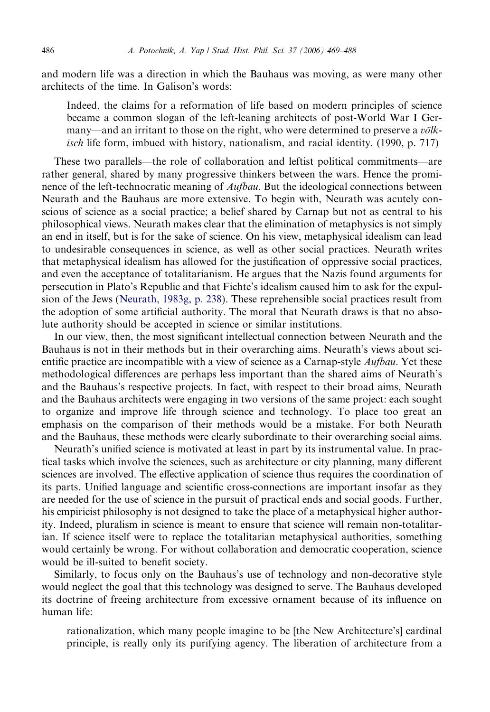and modern life was a direction in which the Bauhaus was moving, as were many other architects of the time. In Galison's words:

Indeed, the claims for a reformation of life based on modern principles of science became a common slogan of the left-leaning architects of post-World War I Germany—and an irritant to those on the right, who were determined to preserve a  $v\ddot{o}lk$ isch life form, imbued with history, nationalism, and racial identity. (1990, p. 717)

These two parallels—the role of collaboration and leftist political commitments—are rather general, shared by many progressive thinkers between the wars. Hence the prominence of the left-technocratic meaning of *Aufbau*. But the ideological connections between Neurath and the Bauhaus are more extensive. To begin with, Neurath was acutely conscious of science as a social practice; a belief shared by Carnap but not as central to his philosophical views. Neurath makes clear that the elimination of metaphysics is not simply an end in itself, but is for the sake of science. On his view, metaphysical idealism can lead to undesirable consequences in science, as well as other social practices. Neurath writes that metaphysical idealism has allowed for the justification of oppressive social practices, and even the acceptance of totalitarianism. He argues that the Nazis found arguments for persecution in Plato's Republic and that Fichte's idealism caused him to ask for the expulsion of the Jews ([Neurath, 1983g, p. 238\)](#page-19-0). These reprehensible social practices result from the adoption of some artificial authority. The moral that Neurath draws is that no absolute authority should be accepted in science or similar institutions.

In our view, then, the most significant intellectual connection between Neurath and the Bauhaus is not in their methods but in their overarching aims. Neurath's views about scientific practice are incompatible with a view of science as a Carnap-style *Aufbau*. Yet these methodological differences are perhaps less important than the shared aims of Neurath's and the Bauhaus's respective projects. In fact, with respect to their broad aims, Neurath and the Bauhaus architects were engaging in two versions of the same project: each sought to organize and improve life through science and technology. To place too great an emphasis on the comparison of their methods would be a mistake. For both Neurath and the Bauhaus, these methods were clearly subordinate to their overarching social aims.

Neurath's unified science is motivated at least in part by its instrumental value. In practical tasks which involve the sciences, such as architecture or city planning, many different sciences are involved. The effective application of science thus requires the coordination of its parts. Unified language and scientific cross-connections are important insofar as they are needed for the use of science in the pursuit of practical ends and social goods. Further, his empiricist philosophy is not designed to take the place of a metaphysical higher authority. Indeed, pluralism in science is meant to ensure that science will remain non-totalitarian. If science itself were to replace the totalitarian metaphysical authorities, something would certainly be wrong. For without collaboration and democratic cooperation, science would be ill-suited to benefit society.

Similarly, to focus only on the Bauhaus's use of technology and non-decorative style would neglect the goal that this technology was designed to serve. The Bauhaus developed its doctrine of freeing architecture from excessive ornament because of its influence on human life:

rationalization, which many people imagine to be [the New Architecture's] cardinal principle, is really only its purifying agency. The liberation of architecture from a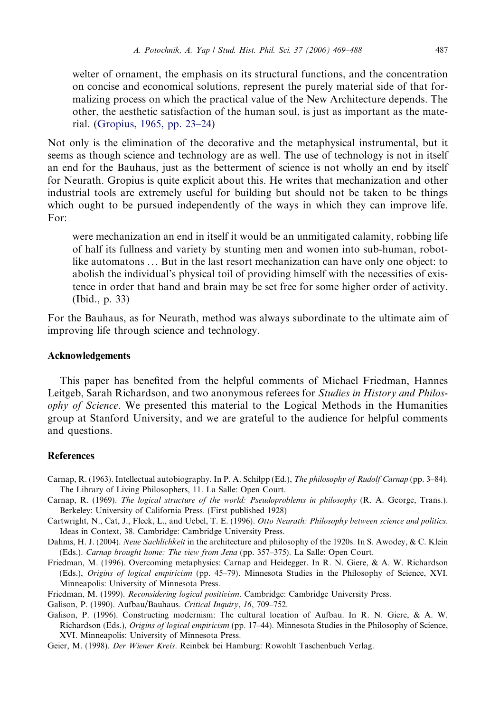<span id="page-18-0"></span>welter of ornament, the emphasis on its structural functions, and the concentration on concise and economical solutions, represent the purely material side of that formalizing process on which the practical value of the New Architecture depends. The other, the aesthetic satisfaction of the human soul, is just as important as the material. ([Gropius, 1965, pp. 23–24\)](#page-19-0)

Not only is the elimination of the decorative and the metaphysical instrumental, but it seems as though science and technology are as well. The use of technology is not in itself an end for the Bauhaus, just as the betterment of science is not wholly an end by itself for Neurath. Gropius is quite explicit about this. He writes that mechanization and other industrial tools are extremely useful for building but should not be taken to be things which ought to be pursued independently of the ways in which they can improve life. For:

were mechanization an end in itself it would be an unmitigated calamity, robbing life of half its fullness and variety by stunting men and women into sub-human, robotlike automatons ... But in the last resort mechanization can have only one object: to abolish the individual's physical toil of providing himself with the necessities of existence in order that hand and brain may be set free for some higher order of activity. (Ibid., p. 33)

For the Bauhaus, as for Neurath, method was always subordinate to the ultimate aim of improving life through science and technology.

#### Acknowledgements

This paper has benefited from the helpful comments of Michael Friedman, Hannes Leitgeb, Sarah Richardson, and two anonymous referees for *Studies in History and Philos*ophy of Science. We presented this material to the Logical Methods in the Humanities group at Stanford University, and we are grateful to the audience for helpful comments and questions.

#### **References**

- Carnap, R. (1963). Intellectual autobiography. In P. A. Schilpp (Ed.), The philosophy of Rudolf Carnap (pp. 3–84). The Library of Living Philosophers, 11. La Salle: Open Court.
- Carnap, R. (1969). The logical structure of the world: Pseudoproblems in philosophy (R. A. George, Trans.). Berkeley: University of California Press. (First published 1928)
- Cartwright, N., Cat, J., Fleck, L., and Uebel, T. E. (1996). Otto Neurath: Philosophy between science and politics. Ideas in Context, 38. Cambridge: Cambridge University Press.
- Dahms, H. J. (2004). Neue Sachlichkeit in the architecture and philosophy of the 1920s. In S. Awodey, & C. Klein (Eds.). Carnap brought home: The view from Jena (pp. 357–375). La Salle: Open Court.
- Friedman, M. (1996). Overcoming metaphysics: Carnap and Heidegger. In R. N. Giere, & A. W. Richardson (Eds.), Origins of logical empiricism (pp. 45–79). Minnesota Studies in the Philosophy of Science, XVI. Minneapolis: University of Minnesota Press.
- Friedman, M. (1999). Reconsidering logical positivism. Cambridge: Cambridge University Press.
- Galison, P. (1990). Aufbau/Bauhaus. Critical Inquiry, 16, 709–752.
- Galison, P. (1996). Constructing modernism: The cultural location of Aufbau. In R. N. Giere, & A. W. Richardson (Eds.), Origins of logical empiricism (pp. 17–44). Minnesota Studies in the Philosophy of Science, XVI. Minneapolis: University of Minnesota Press.

Geier, M. (1998). Der Wiener Kreis. Reinbek bei Hamburg: Rowohlt Taschenbuch Verlag.